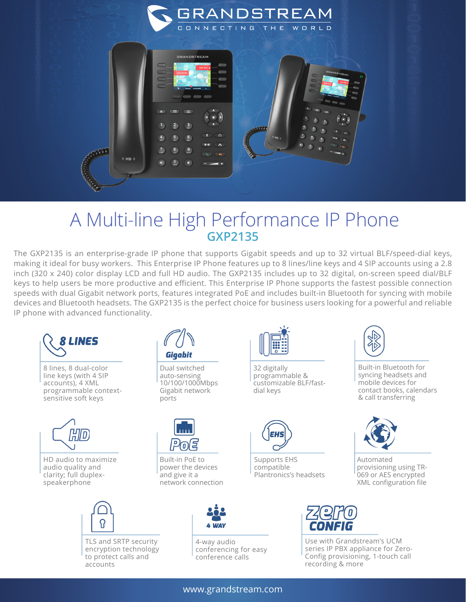

## A Multi-line High Performance IP Phone **GXP2135**

The GXP2135 is an enterprise-grade IP phone that supports Gigabit speeds and up to 32 virtual BLF/speed-dial keys, making it ideal for busy workers. This Enterprise IP Phone features up to 8 lines/line keys and 4 SIP accounts using a 2.8 inch (320 x 240) color display LCD and full HD audio. The GXP2135 includes up to 32 digital, on-screen speed dial/BLF keys to help users be more productive and efficient. This Enterprise IP Phone supports the fastest possible connection speeds with dual Gigabit network ports, features integrated PoE and includes built-in Bluetooth for syncing with mobile devices and Bluetooth headsets. The GXP2135 is the perfect choice for business users looking for a powerful and reliable IP phone with advanced functionality.



www.grandstream.com